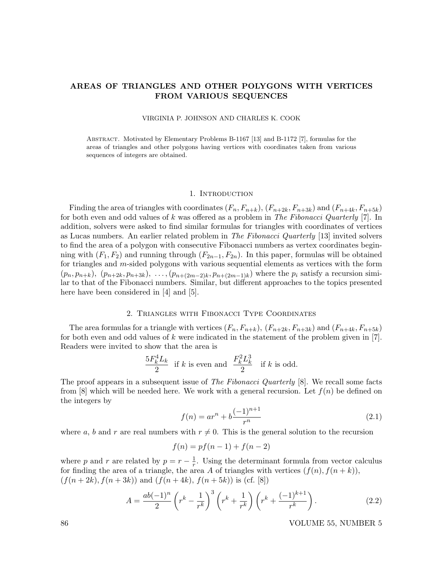# AREAS OF TRIANGLES AND OTHER POLYGONS WITH VERTICES FROM VARIOUS SEQUENCES

VIRGINIA P. JOHNSON AND CHARLES K. COOK

Abstract. Motivated by Elementary Problems B-1167 [13] and B-1172 [7], formulas for the areas of triangles and other polygons having vertices with coordinates taken from various sequences of integers are obtained.

#### 1. INTRODUCTION

Finding the area of triangles with coordinates  $(F_n, F_{n+k}), (F_{n+2k}, F_{n+3k})$  and  $(F_{n+4k}, F_{n+5k})$ for both even and odd values of k was offered as a problem in The Fibonacci Quarterly [7]. In addition, solvers were asked to find similar formulas for triangles with coordinates of vertices as Lucas numbers. An earlier related problem in The Fibonacci Quarterly [13] invited solvers to find the area of a polygon with consecutive Fibonacci numbers as vertex coordinates beginning with  $(F_1, F_2)$  and running through  $(F_{2n-1}, F_{2n})$ . In this paper, formulas will be obtained for triangles and  $m$ -sided polygons with various sequential elements as vertices with the form  $(p_n, p_{n+k}), (p_{n+2k}, p_{n+3k}), \ldots, (p_{n+(2m-2)k}, p_{n+(2m-1)k})$  where the  $p_i$  satisfy a recursion similar to that of the Fibonacci numbers. Similar, but different approaches to the topics presented here have been considered in [4] and [5].

## 2. Triangles with Fibonacci Type Coordinates

The area formulas for a triangle with vertices  $(F_n, F_{n+k}), (F_{n+2k}, F_{n+3k})$  and  $(F_{n+4k}, F_{n+5k})$ for both even and odd values of k were indicated in the statement of the problem given in [7]. Readers were invited to show that the area is

$$
\frac{5F_k^4L_k}{2}
$$
 if  $k$  is even and 
$$
\frac{F_k^2L_k^3}{2}
$$
 if  $k$  is odd.

The proof appears in a subsequent issue of *The Fibonacci Quarterly* [8]. We recall some facts from [8] which will be needed here. We work with a general recursion. Let  $f(n)$  be defined on the integers by

$$
f(n) = ar^n + b \frac{(-1)^{n+1}}{r^n}
$$
\n(2.1)

where a, b and r are real numbers with  $r \neq 0$ . This is the general solution to the recursion

$$
f(n) = pf(n-1) + f(n-2)
$$

where p and r are related by  $p = r - \frac{1}{r}$  $\frac{1}{r}$ . Using the determinant formula from vector calculus for finding the area of a triangle, the area A of triangles with vertices  $(f(n), f(n + k))$ ,  $(f(n+2k), f(n+3k))$  and  $(f(n+4k), f(n+5k))$  is (cf. [8])

$$
A = \frac{ab(-1)^n}{2} \left( r^k - \frac{1}{r^k} \right)^3 \left( r^k + \frac{1}{r^k} \right) \left( r^k + \frac{(-1)^{k+1}}{r^k} \right). \tag{2.2}
$$

86 VOLUME 55, NUMBER 5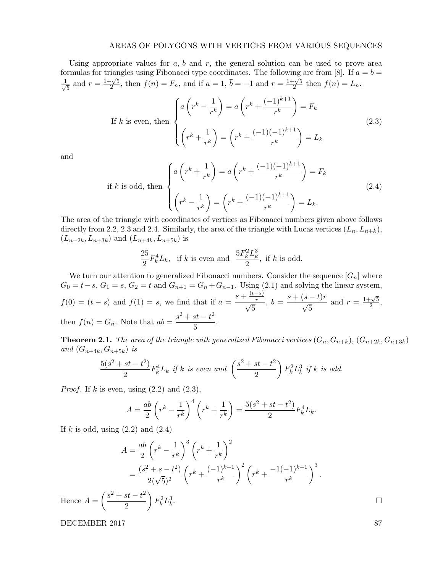Using appropriate values for  $a, b$  and  $r$ , the general solution can be used to prove area formulas for triangles using Fibonacci type coordinates. The following are from [8]. If  $a = b =$  $\frac{1}{\sqrt{2}}$ and  $r = \frac{1+\sqrt{5}}{2}$  $\frac{1}{2} \cdot \frac{\sqrt{5}}{2}$ , then  $f(n) = F_n$ , and if  $\overline{a} = 1$ ,  $\overline{b} = -1$  and  $r = \frac{1+\sqrt{5}}{2}$  $\frac{-\sqrt{5}}{2}$  then  $f(n) = L_n$ .

If k is even, then 
$$
\begin{cases} a\left(r^k - \frac{1}{r^k}\right) = a\left(r^k + \frac{(-1)^{k+1}}{r^k}\right) = F_k\\ \left(r^k + \frac{1}{r^k}\right) = \left(r^k + \frac{(-1)(-1)^{k+1}}{r^k}\right) = L_k \end{cases}
$$
(2.3)

and

if k is odd, then  
\n
$$
\begin{cases}\na\left(r^k + \frac{1}{r^k}\right) = a\left(r^k + \frac{(-1)(-1)^{k+1}}{r^k}\right) = F_k \\
\left(r^k - \frac{1}{r^k}\right) = \left(r^k + \frac{(-1)(-1)^{k+1}}{r^k}\right) = L_k.\n\end{cases}
$$
\n(2.4)

The area of the triangle with coordinates of vertices as Fibonacci numbers given above follows directly from 2.2, 2.3 and 2.4. Similarly, the area of the triangle with Lucas vertices  $(L_n, L_{n+k}),$  $(L_{n+2k}, L_{n+3k})$  and  $(L_{n+4k}, L_{n+5k})$  is

$$
\frac{25}{2}F_k^4L_k
$$
, if  $k$  is even and 
$$
\frac{5F_k^2L_k^3}{2}
$$
, if  $k$  is odd.

We turn our attention to generalized Fibonacci numbers. Consider the sequence  $[G_n]$  where  $G_0 = t-s$ ,  $G_1 = s$ ,  $G_2 = t$  and  $G_{n+1} = G_n + G_{n-1}$ . Using (2.1) and solving the linear system,  $f(0) = (t - s)$  and  $f(1) = s$ , we find that if  $a = \frac{s + \frac{(t - s)}{r}}{\sqrt{s}}$  $\frac{r}{\sqrt{r}}$ 5  $, b = \frac{s + (s - t)r}{\sqrt{s}}$ 5 and  $r = \frac{1+\sqrt{5}}{2}$  $\frac{1}{2}$ , then  $f(n) = G_n$ . Note that  $ab = \frac{s^2 + st - t^2}{5}$  $\frac{5c-c}{5}$ .

**Theorem 2.1.** The area of the triangle with generalized Fibonacci vertices  $(G_n, G_{n+k})$ ,  $(G_{n+2k}, G_{n+3k})$ and  $(G_{n+4k}, G_{n+5k})$  is

$$
\frac{5(s^2+st-t^2)}{2}F_k^4L_k \text{ if } k \text{ is even and } \left(\frac{s^2+st-t^2}{2}\right)F_k^2L_k^3 \text{ if } k \text{ is odd.}
$$

*Proof.* If k is even, using  $(2.2)$  and  $(2.3)$ ,

$$
A = \frac{ab}{2} \left( r^k - \frac{1}{r^k} \right)^4 \left( r^k + \frac{1}{r^k} \right) = \frac{5(s^2 + st - t^2)}{2} F_k^4 L_k.
$$

If k is odd, using  $(2.2)$  and  $(2.4)$ 

$$
A = \frac{ab}{2} \left( r^k - \frac{1}{r^k} \right)^3 \left( r^k + \frac{1}{r^k} \right)^2
$$
  
=  $\frac{(s^2 + s - t^2)}{2(\sqrt{5})^2} \left( r^k + \frac{(-1)^{k+1}}{r^k} \right)^2 \left( r^k + \frac{-1(-1)^{k+1}}{r^k} \right)^3$ .  
Hence  $A = \left( \frac{s^2 + st - t^2}{2} \right) F_k^2 L_k^3$ .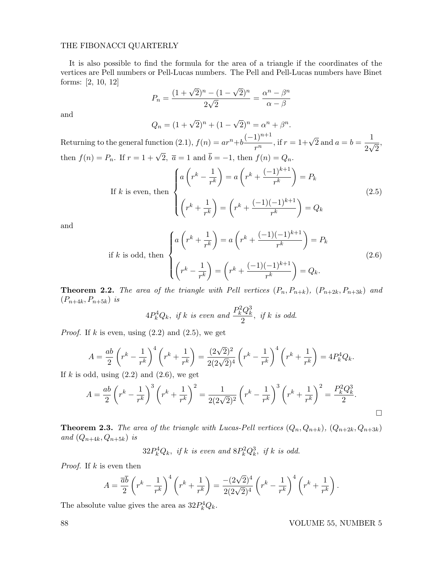#### THE FIBONACCI QUARTERLY

It is also possible to find the formula for the area of a triangle if the coordinates of the vertices are Pell numbers or Pell-Lucas numbers. The Pell and Pell-Lucas numbers have Binet forms: [2, 10, 12] √

$$
P_n = \frac{(1 + \sqrt{2})^n - (1 - \sqrt{2})^n}{2\sqrt{2}} = \frac{\alpha^n - \beta^n}{\alpha - \beta}
$$

and

$$
Q_n = (1 + \sqrt{2})^n + (1 - \sqrt{2})^n = \alpha^n + \beta^n.
$$

Returning to the general function  $(2.1)$ ,  $f(n) = ar^n+b\frac{(-1)^{n+1}}{n}$  $\frac{(1)^{n+1}}{r^n}$ , if  $r = 1 + \sqrt{2}$  and  $a = b = \frac{1}{2\sqrt{2}}$ 2  $\frac{1}{\sqrt{2}}$ 2 then  $f(n) = P_n$ . If  $r = 1 + \sqrt{2}$ ,  $\overline{a} = 1$  and  $\overline{b} = -1$ , then  $f(n) = Q_n$ .

If k is even, then 
$$
\begin{cases} a\left(r^k - \frac{1}{r^k}\right) = a\left(r^k + \frac{(-1)^{k+1}}{r^k}\right) = P_k\\ \left(r^k + \frac{1}{r^k}\right) = \left(r^k + \frac{(-1)(-1)^{k+1}}{r^k}\right) = Q_k \end{cases}
$$
(2.5)

and

$$
\text{if } k \text{ is odd, then } \begin{cases} a\left(r^k + \frac{1}{r^k}\right) = a\left(r^k + \frac{(-1)(-1)^{k+1}}{r^k}\right) = P_k\\ \left(r^k - \frac{1}{r^k}\right) = \left(r^k + \frac{(-1)(-1)^{k+1}}{r^k}\right) = Q_k. \end{cases} \tag{2.6}
$$

**Theorem 2.2.** The area of the triangle with Pell vertices  $(P_n, P_{n+k})$ ,  $(P_{n+2k}, P_{n+3k})$  and  $(P_{n+4k}, P_{n+5k})$  is

$$
4P_k^4Q_k, \text{ if } k \text{ is even and } \frac{P_k^2Q_k^3}{2}, \text{ if } k \text{ is odd.}
$$

*Proof.* If k is even, using  $(2.2)$  and  $(2.5)$ , we get

$$
A = \frac{ab}{2} \left( r^k - \frac{1}{r^k} \right)^4 \left( r^k + \frac{1}{r^k} \right) = \frac{(2\sqrt{2})^2}{2(2\sqrt{2})^4} \left( r^k - \frac{1}{r^k} \right)^4 \left( r^k + \frac{1}{r^k} \right) = 4P_k^4 Q_k.
$$

If k is odd, using  $(2.2)$  and  $(2.6)$ , we get

$$
A = \frac{ab}{2} \left( r^k - \frac{1}{r^k} \right)^3 \left( r^k + \frac{1}{r^k} \right)^2 = \frac{1}{2(2\sqrt{2})^2} \left( r^k - \frac{1}{r^k} \right)^3 \left( r^k + \frac{1}{r^k} \right)^2 = \frac{P_k^2 Q_k^3}{2}.
$$

**Theorem 2.3.** The area of the triangle with Lucas-Pell vertices  $(Q_n, Q_{n+k})$ ,  $(Q_{n+2k}, Q_{n+3k})$ and  $(Q_{n+4k}, Q_{n+5k})$  is

 $32P_k^4Q_k$ , if k is even and  $8P_k^2Q_k^3$ , if k is odd.

*Proof.* If  $k$  is even then

$$
A = \frac{\overline{a}\overline{b}}{2} \left( r^k - \frac{1}{r^k} \right)^4 \left( r^k + \frac{1}{r^k} \right) = \frac{-(2\sqrt{2})^4}{2(2\sqrt{2})^4} \left( r^k - \frac{1}{r^k} \right)^4 \left( r^k + \frac{1}{r^k} \right).
$$

The absolute value gives the area as  $32P_k^4Q_k$ .

88 VOLUME 55, NUMBER 5

,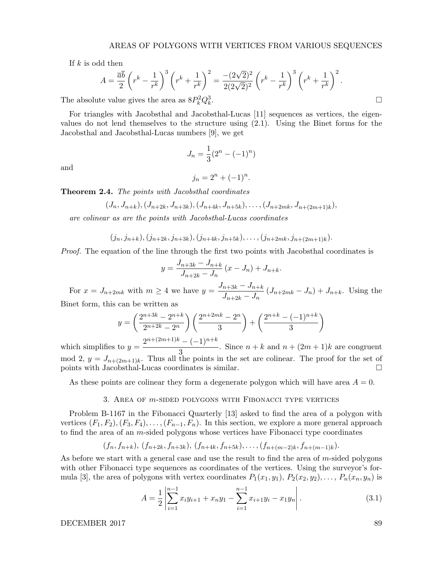If  $k$  is odd then

$$
A = \frac{\overline{ab}}{2} \left( r^k - \frac{1}{r^k} \right)^3 \left( r^k + \frac{1}{r^k} \right)^2 = \frac{-(2\sqrt{2})^2}{2(2\sqrt{2})^2} \left( r^k - \frac{1}{r^k} \right)^3 \left( r^k + \frac{1}{r^k} \right)^2.
$$
  
we value gives the area as  $8P_k^2 Q_k^3$ .

The absolute value gives the area as  $8P_k^2Q_k^3$ 

For triangles with Jacobsthal and Jacobsthal-Lucas [11] sequences as vertices, the eigenvalues do not lend themselves to the structure using (2.1). Using the Binet forms for the Jacobsthal and Jacobsthal-Lucas numbers [9], we get

$$
J_n = \frac{1}{3}(2^n - (-1)^n)
$$

and

$$
j_n = 2^n + (-1)^n.
$$

Theorem 2.4. The points with Jacobsthal coordinates

$$
(J_n, J_{n+k}), (J_{n+2k}, J_{n+3k}), (J_{n+4k}, J_{n+5k}), \ldots, (J_{n+2mk}, J_{n+(2m+1)k}),
$$

are colinear as are the points with Jacobsthal-Lucas coordinates

 $(j_n, j_{n+k}), (j_{n+2k}, j_{n+3k}), (j_{n+4k}, j_{n+5k}), \ldots, (j_{n+2mk}, j_{n+(2m+1)k}).$ 

Proof. The equation of the line through the first two points with Jacobsthal coordinates is

$$
y = \frac{J_{n+3k} - J_{n+k}}{J_{n+2k} - J_n} (x - J_n) + J_{n+k}.
$$

For  $x = J_{n+2mk}$  with  $m \geq 4$  we have  $y = \frac{J_{n+3k} - J_{n+k}}{I_{n+3k}}$  $\frac{n+3k}{J_{n+2k}-J_n}$   $(J_{n+2mk}-J_n) + J_{n+k}$ . Using the Binet form, this can be written as

$$
y = \left(\frac{2^{n+3k} - 2^{n+k}}{2^{n+2k} - 2^n}\right) \left(\frac{2^{n+2mk} - 2^n}{3}\right) + \left(\frac{2^{n+k} - (-1)^{n+k}}{3}\right)
$$

$$
2^{n+2m+1/k} \left(2^{n+1/k} - (-1)^{n+k}\right)
$$

which simplifies to  $y = \frac{2^{n+(2m+1)k} - (-1)^{n+k}}{2}$  $\frac{(1)}{3}$ . Since  $n + k$  and  $n + (2m + 1)k$  are congruent mod 2,  $y = J_{n+(2m+1)k}$ . Thus all the points in the set are colinear. The proof for the set of points with Jacobsthal-Lucas coordinates is similar.

As these points are colinear they form a degenerate polygon which will have area  $A = 0$ .

#### 3. Area of m-sided polygons with Fibonacci type vertices

Problem B-1167 in the Fibonacci Quarterly [13] asked to find the area of a polygon with vertices  $(F_1, F_2), (F_3, F_4), \ldots, (F_{n-1}, F_n)$ . In this section, we explore a more general approach to find the area of an  $m$ -sided polygons whose vertices have Fibonacci type coordinates

$$
(f_n, f_{n+k}), (f_{n+2k}, f_{n+3k}), (f_{n+4k}, f_{n+5k}), \ldots, (f_{n+(m-2)k}, f_{n+(m-1)k}).
$$

As before we start with a general case and use the result to find the area of  $m$ -sided polygons with other Fibonacci type sequences as coordinates of the vertices. Using the surveyor's formula [3], the area of polygons with vertex coordinates  $P_1(x_1, y_1), P_2(x_2, y_2), \ldots, P_n(x_n, y_n)$  is

$$
A = \frac{1}{2} \left| \sum_{i=1}^{n-1} x_i y_{i+1} + x_n y_1 - \sum_{i=1}^{n-1} x_{i+1} y_i - x_1 y_n \right|.
$$
 (3.1)

DECEMBER 2017 89

2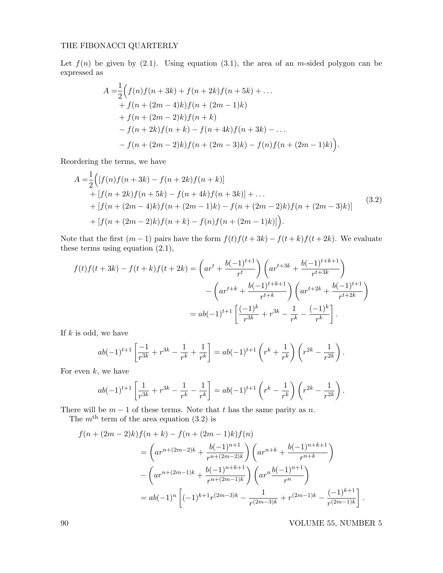## THE FIBONACCI QUARTERLY

Let  $f(n)$  be given by (2.1). Using equation (3.1), the area of an m-sided polygon can be expressed as

$$
A = \frac{1}{2} \Big( f(n) f(n+3k) + f(n+2k) f(n+5k) + \dots + f(n + (2m - 4)k) f(n + (2m - 1)k) + f(n + (2m - 2)k) f(n + k) - f(n + 2k) f(n + k) - f(n + 4k) f(n + 3k) - \dots - f(n + (2m - 2)k) f(n + (2m - 3)k) - f(n) f(n + (2m - 1)k) \Big).
$$

Reordering the terms, we have

$$
A = \frac{1}{2} \Big( [f(n)f(n+3k) - f(n+2k)f(n+k)]
$$
  
+ 
$$
[f(n+2k)f(n+5k) - f(n+4k)f(n+3k)] + ...
$$
  
+ 
$$
[f(n+(2m-4)k)f(n+(2m-1)k) - f(n+(2m-2)k)f(n+(2m-3)k)]
$$
  
+ 
$$
[f(n+(2m-2)k)f(n+k) - f(n)f(n+(2m-1)k)] \Big).
$$
 (3.2)

Note that the first  $(m-1)$  pairs have the form  $f(t)f(t+3k) - f(t+k)f(t+2k)$ . We evaluate these terms using equation (2.1),

$$
f(t)f(t+3k) - f(t+k)f(t+2k) = \left( ar^t + \frac{b(-1)^{t+1}}{r^t} \right) \left( ar^{t+3k} + \frac{b(-1)^{t+k+1}}{r^{t+3k}} \right)
$$

$$
- \left( ar^{t+k} + \frac{b(-1)^{t+k+1}}{r^{t+k}} \right) \left( ar^{t+2k} + \frac{b(-1)^{t+1}}{r^{t+2k}} \right)
$$

$$
= ab(-1)^{t+1} \left[ \frac{(-1)^k}{r^{3k}} + r^{3k} - \frac{1}{r^k} - \frac{(-1)^k}{r^k} \right].
$$

If  $k$  is odd, we have

$$
ab(-1)^{t+1}\left[\frac{-1}{r^{3k}}+r^{3k}-\frac{1}{r^k}+\frac{1}{r^k}\right]=ab(-1)^{t+1}\left(r^k+\frac{1}{r^k}\right)\left(r^{2k}-\frac{1}{r^{2k}}\right).
$$

For even  $k$ , we have

$$
ab(-1)^{t+1}\left[\frac{1}{r^{3k}}+r^{3k}-\frac{1}{r^k}-\frac{1}{r^k}\right]=ab(-1)^{t+1}\left(r^k-\frac{1}{r^k}\right)\left(r^{2k}-\frac{1}{r^{2k}}\right).
$$

There will be  $m-1$  of these terms. Note that t has the same parity as n.

The  $m<sup>th</sup>$  term of the area equation (3.2) is

$$
f(n + (2m - 2)k)f(n + k) - f(n + (2m - 1)k)f(n)
$$
  
=  $\left( ar^{n + (2m - 2)k} + \frac{b(-1)^{n+1}}{r^{n + (2m - 2)k}} \right) \left( ar^{n+k} + \frac{b(-1)^{n+k+1}}{r^{n+k}} \right)$   

$$
- \left( ar^{n + (2m - 1)k} + \frac{b(-1)^{n+k+1}}{r^{n + (2m - 1)k}} \right) \left( ar^{n} \frac{b(-1)^{n+1}}{r^{n}} \right)
$$
  
=  $ab(-1)^n \left[ (-1)^{k+1}r^{(2m-3)k} - \frac{1}{r^{(2m-3)k}} + r^{(2m-1)k} - \frac{(-1)^{k+1}}{r^{(2m-1)k}} \right].$ 

90 VOLUME 55, NUMBER 5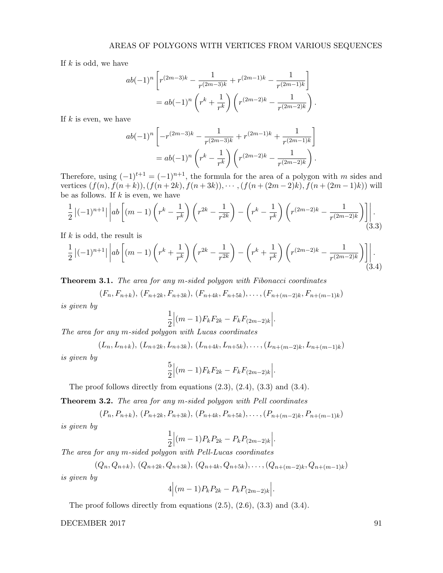If  $k$  is odd, we have

$$
ab(-1)^n \left[ r^{(2m-3)k} - \frac{1}{r^{(2m-3)k}} + r^{(2m-1)k} - \frac{1}{r^{(2m-1)k}} \right]
$$
  
=  $ab(-1)^n \left( r^k + \frac{1}{r^k} \right) \left( r^{(2m-2)k} - \frac{1}{r^{(2m-2)k}} \right).$ 

If  $k$  is even, we have

$$
ab(-1)^n \left[ -r^{(2m-3)k} - \frac{1}{r^{(2m-3)k}} + r^{(2m-1)k} + \frac{1}{r^{(2m-1)k}} \right]
$$
  
=  $ab(-1)^n \left( r^k - \frac{1}{r^k} \right) \left( r^{(2m-2)k} - \frac{1}{r^{(2m-2)k}} \right).$ 

Therefore, using  $(-1)^{t+1} = (-1)^{n+1}$ , the formula for the area of a polygon with m sides and vertices  $(f(n), f(n+k)), (f(n+2k), f(n+3k)), \cdots, (f(n+(2m-2)k), f(n+(2m-1)k))$  will be as follows. If  $k$  is even, we have

$$
\frac{1}{2}\left|(-1)^{n+1}\right| \left| ab \left[ (m-1) \left( r^k - \frac{1}{r^k} \right) \left( r^{2k} - \frac{1}{r^{2k}} \right) - \left( r^k - \frac{1}{r^k} \right) \left( r^{(2m-2)k} - \frac{1}{r^{(2m-2)k}} \right) \right] \right|.
$$
\n(3.3)

If  $k$  is odd, the result is

$$
\frac{1}{2}\left|(-1)^{n+1}\right|\left|ab\left[(m-1)\left(r^k+\frac{1}{r^k}\right)\left(r^{2k}-\frac{1}{r^{2k}}\right)-\left(r^k+\frac{1}{r^k}\right)\left(r^{(2m-2)k}-\frac{1}{r^{(2m-2)k}}\right)\right|\right|.\tag{3.4}
$$

**Theorem 3.1.** The area for any m-sided polygon with Fibonacci coordinates

$$
(F_n, F_{n+k}), (F_{n+2k}, F_{n+3k}), (F_{n+4k}, F_{n+5k}), \ldots, (F_{n+(m-2)k}, F_{n+(m-1)k})
$$

is given by

$$
\frac{1}{2} \Big| (m-1) F_k F_{2k} - F_k F_{(2m-2)k} \Big|.
$$

The area for any m-sided polygon with Lucas coordinates

$$
(L_n, L_{n+k}), (L_{n+2k}, L_{n+3k}), (L_{n+4k}, L_{n+5k}), \ldots, (L_{n+(m-2)k}, L_{n+(m-1)k})
$$

is given by

$$
\frac{5}{2}\Big|(m-1)F_kF_{2k} - F_kF_{(2m-2)k}\Big|.
$$

The proof follows directly from equations (2.3), (2.4), (3.3) and (3.4).

**Theorem 3.2.** The area for any m-sided polygon with Pell coordinates

$$
(P_n, P_{n+k}), (P_{n+2k}, P_{n+3k}), (P_{n+4k}, P_{n+5k}), \ldots, (P_{n+(m-2)k}, P_{n+(m-1)k})
$$
  
bu

is given by

$$
\frac{1}{2}\Big|(m-1)P_kP_{2k}-P_kP_{(2m-2)k}\Big|.
$$

The area for any m-sided polygon with Pell-Lucas coordinates

$$
(Q_n, Q_{n+k}), (Q_{n+2k}, Q_{n+3k}), (Q_{n+4k}, Q_{n+5k}), \ldots, (Q_{n+(m-2)k}, Q_{n+(m-1)k})
$$
  
is given by

$$
4|(m-1)P_kP_{2k}-P_kP_{(2m-2)k}|.
$$

The proof follows directly from equations (2.5), (2.6), (3.3) and (3.4).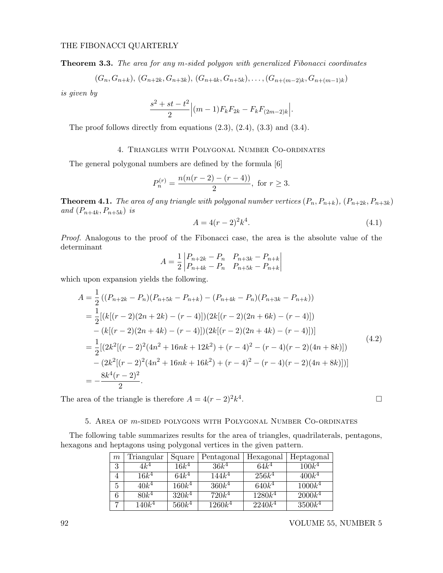Theorem 3.3. The area for any m-sided polygon with generalized Fibonacci coordinates

$$
(G_n, G_{n+k}), (G_{n+2k}, G_{n+3k}), (G_{n+4k}, G_{n+5k}), \ldots, (G_{n+(m-2)k}, G_{n+(m-1)k})
$$

is given by

$$
\frac{s^2 + st - t^2}{2} \Big| (m - 1) F_k F_{2k} - F_k F_{(2m-2)k} \Big|.
$$

The proof follows directly from equations (2.3), (2.4), (3.3) and (3.4).

### 4. Triangles with Polygonal Number Co-ordinates

The general polygonal numbers are defined by the formula [6]

$$
P_n^{(r)} = \frac{n(n(r-2) - (r-4))}{2}, \text{ for } r \ge 3.
$$

**Theorem 4.1.** The area of any triangle with polygonal number vertices  $(P_n, P_{n+k})$ ,  $(P_{n+2k}, P_{n+3k})$ and  $(P_{n+4k}, P_{n+5k})$  is

$$
A = 4(r-2)^2 k^4.
$$
 (4.1)

Proof. Analogous to the proof of the Fibonacci case, the area is the absolute value of the determinant

$$
A = \frac{1}{2} \begin{vmatrix} P_{n+2k} - P_n & P_{n+3k} - P_{n+k} \\ P_{n+4k} - P_n & P_{n+5k} - P_{n+k} \end{vmatrix}
$$

which upon expansion yields the following.

$$
A = \frac{1}{2} ((P_{n+2k} - P_n)(P_{n+5k} - P_{n+k}) - (P_{n+4k} - P_n)(P_{n+3k} - P_{n+k}))
$$
  
\n
$$
= \frac{1}{2} [(k[(r-2)(2n+2k) - (r-4)])(2k[(r-2)(2n+6k) - (r-4)])
$$
  
\n
$$
- (k[(r-2)(2n+4k) - (r-4)])(2k[(r-2)(2n+4k) - (r-4)])]
$$
  
\n
$$
= \frac{1}{2} [(2k^2[(r-2)^2(4n^2+16nk+12k^2) + (r-4)^2 - (r-4)(r-2)(4n+8k)])
$$
  
\n
$$
- (2k^2[(r-2)^2(4n^2+16nk+16k^2) + (r-4)^2 - (r-4)(r-2)(4n+8k)])
$$
  
\n
$$
= -\frac{8k^4(r-2)^2}{2}.
$$
 (4.2)

The area of the triangle is therefore  $A = 4(r-2)^2k^4$ .

## 5. Area of m-sided polygons with Polygonal Number Co-ordinates

The following table summarizes results for the area of triangles, quadrilaterals, pentagons, hexagons and heptagons using polygonal vertices in the given pattern.

| $\mathfrak{m}$ | Triangular       | Square   | Pentagonal       | Hexagonal | Heptagonal        |
|----------------|------------------|----------|------------------|-----------|-------------------|
| 3              | $4k^4$           | $16k^4$  | 36k <sup>4</sup> | $64k^4$   | 100k <sup>4</sup> |
| $\overline{4}$ | 16k <sup>4</sup> | $64k^4$  | $144k^4$         | $256k^4$  | $400k^4$          |
| 5              | 40k <sup>4</sup> | $160k^4$ | $360k^4$         | $640k^4$  | $1000k^4$         |
| 6              | $80k^4$          | $320k^4$ | $720k^4$         | $1280k^4$ | $2000k^4$         |
| $\overline{ }$ | $140k^4$         | $560k^4$ | $1260k^4$        | $2240k^4$ | $3500k^4$         |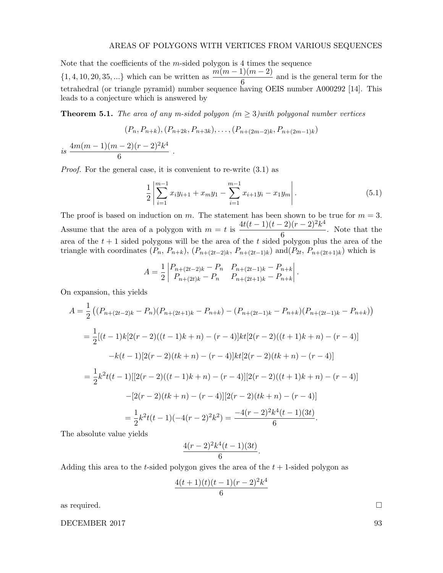#### AREAS OF POLYGONS WITH VERTICES FROM VARIOUS SEQUENCES

Note that the coefficients of the m-sided polygon is 4 times the sequence  $\{1, 4, 10, 20, 35, ...\}$  which can be written as  $\frac{m(m-1)(m-2)}{6}$  and is the general term for the tetrahedral (or triangle pyramid) number sequence having OEIS number A000292 [14]. This leads to a conjecture which is answered by

**Theorem 5.1.** The area of any m-sided polygon  $(m \geq 3)$  with polygonal number vertices

$$
(P_n, P_{n+k}), (P_{n+2k}, P_{n+3k}), \ldots, (P_{n+(2m-2)k}, P_{n+(2m-1)k})
$$

is 
$$
\frac{4m(m-1)(m-2)(r-2)^2k^4}{6}
$$
.

Proof. For the general case, it is convenient to re-write (3.1) as

$$
\frac{1}{2} \left| \sum_{i=1}^{m-1} x_i y_{i+1} + x_m y_1 - \sum_{i=1}^{m-1} x_{i+1} y_i - x_1 y_m \right|.
$$
 (5.1)

The proof is based on induction on m. The statement has been shown to be true for  $m = 3$ . Assume that the area of a polygon with  $m = t$  is  $\frac{4t(t-1)(t-2)(r-2)^2k^4}{a}$  $\frac{2}{\sqrt{6}}$ . Note that the area of the  $t + 1$  sided polygons will be the area of the t sided polygon plus the area of the triangle with coordinates  $(P_n, P_{n+k}), (P_{n+(2t-2)k}, P_{n+(2t-1)k})$  and  $(P_{2t}, P_{n+(2t+1)k})$  which is

$$
A = \frac{1}{2} \begin{vmatrix} P_{n+(2t-2)k} - P_n & P_{n+(2t-1)k} - P_{n+k} \\ P_{n+(2t)k} - P_n & P_{n+(2t+1)k} - P_{n+k} \end{vmatrix}.
$$

On expansion, this yields

$$
A = \frac{1}{2} \left( (P_{n+(2t-2)k} - P_n)(P_{n+(2t+1)k} - P_{n+k}) - (P_{n+(2t-1)k} - P_{n+k})(P_{n+(2t-1)k} - P_{n+k}) \right)
$$
  
\n
$$
= \frac{1}{2} [(t-1)k[2(r-2)((t-1)k+n) - (r-4)]kt[2(r-2)((t+1)k+n) - (r-4)]
$$
  
\n
$$
-k(t-1)[2(r-2)(tk+n) - (r-4)]kt[2(r-2)(tk+n) - (r-4)]
$$
  
\n
$$
= \frac{1}{2}k^2t(t-1)[[2(r-2)((t-1)k+n) - (r-4)][2(r-2)((t+1)k+n) - (r-4)]
$$
  
\n
$$
-[2(r-2)(tk+n) - (r-4)][2(r-2)(tk+n) - (r-4)]
$$
  
\n
$$
= \frac{1}{2}k^2t(t-1)(-4(r-2)^2k^2) = \frac{-4(r-2)^2k^4(t-1)(3t)}{6}.
$$

The absolute value yields

$$
\frac{4(r-2)^2k^4(t-1)(3t)}{6}.
$$

Adding this area to the t-sided polygon gives the area of the  $t + 1$ -sided polygon as

$$
\frac{4(t+1)(t)(t-1)(r-2)^2k^4}{6}
$$

as required.  $\Box$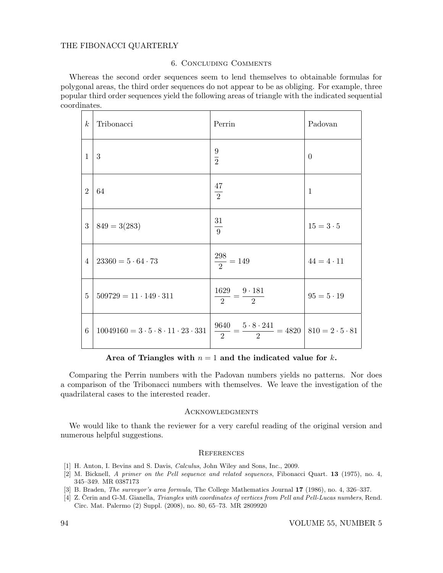## THE FIBONACCI QUARTERLY

### 6. Concluding Comments

Whereas the second order sequences seem to lend themselves to obtainable formulas for polygonal areas, the third order sequences do not appear to be as obliging. For example, three popular third order sequences yield the following areas of triangle with the indicated sequential coordinates.

| $\boldsymbol{k}$ | Tribonacci                                                 | Perrin                                                                   | Padovan           |
|------------------|------------------------------------------------------------|--------------------------------------------------------------------------|-------------------|
| $\mathbf{1}$     | 3                                                          | $\frac{9}{2}$                                                            | $\theta$          |
| $\overline{2}$   | 64                                                         | $\frac{47}{2}$                                                           | $\mathbf{1}$      |
| 3                | $849 = 3(283)$                                             | $\frac{31}{9}$                                                           | $15 = 3 \cdot 5$  |
| $\overline{4}$   | $23360 = 5.64.73$                                          | $\frac{298}{2} = 149$                                                    | $44 = 4 \cdot 11$ |
| $\overline{5}$   | $509729 = 11 \cdot 149 \cdot 311$                          | $\frac{1629}{2} = \frac{9 \cdot 181}{2}$                                 | $95 = 5 \cdot 19$ |
| 6                | $10049160 = 3 \cdot 5 \cdot 8 \cdot 11 \cdot 23 \cdot 331$ | $\frac{9640}{2} = \frac{5 \cdot 8 \cdot 241}{2} = 4820$ 810 = 2 · 5 · 81 |                   |

Area of Triangles with  $n = 1$  and the indicated value for k.

Comparing the Perrin numbers with the Padovan numbers yields no patterns. Nor does a comparison of the Tribonacci numbers with themselves. We leave the investigation of the quadrilateral cases to the interested reader.

### **ACKNOWLEDGMENTS**

We would like to thank the reviewer for a very careful reading of the original version and numerous helpful suggestions.

### **REFERENCES**

- [1] H. Anton, I. Bevins and S. Davis, Calculus, John Wiley and Sons, Inc., 2009.
- [2] M. Bicknell, A primer on the Pell sequence and related sequences, Fibonacci Quart. 13 (1975), no. 4, 345–349. MR 0387173
- [3] B. Braden, The surveyor's area formula, The College Mathematics Journal 17 (1986), no. 4, 326–337.
- [4] Z. Čerin and G-M. Gianella, *Triangles with coordinates of vertices from Pell and Pell-Lucas numbers*, Rend. Circ. Mat. Palermo (2) Suppl. (2008), no. 80, 65–73. MR 2809920